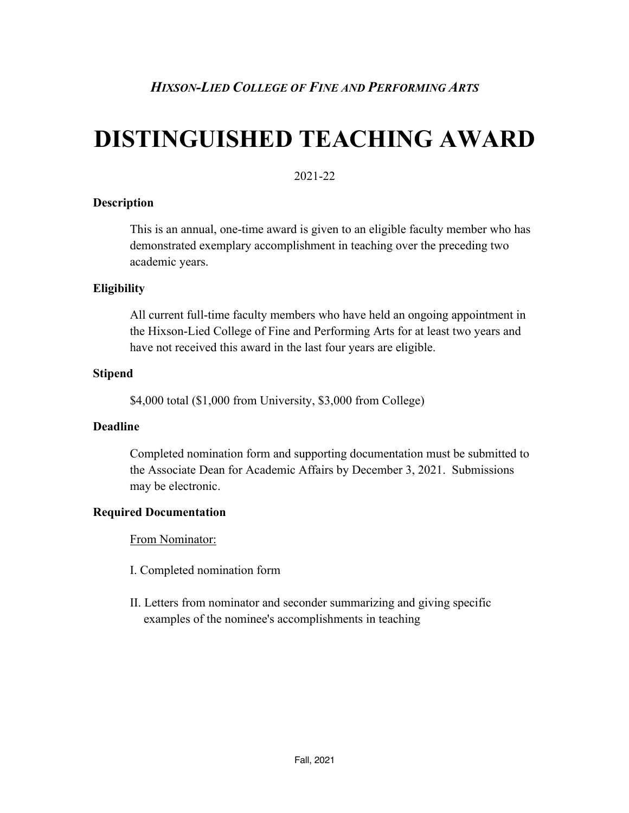# **DISTINGUISHED TEACHING AWARD**

# 2021-22

#### **Description**

This is an annual, one-time award is given to an eligible faculty member who has demonstrated exemplary accomplishment in teaching over the preceding two academic years.

# **Eligibility**

All current full-time faculty members who have held an ongoing appointment in the Hixson-Lied College of Fine and Performing Arts for at least two years and have not received this award in the last four years are eligible.

### **Stipend**

\$4,000 total (\$1,000 from University, \$3,000 from College)

#### **Deadline**

Completed nomination form and supporting documentation must be submitted to the Associate Dean for Academic Affairs by December 3, 2021. Submissions may be electronic.

# **Required Documentation**

From Nominator:

- I. Completed nomination form
- II. Letters from nominator and seconder summarizing and giving specific examples of the nominee's accomplishments in teaching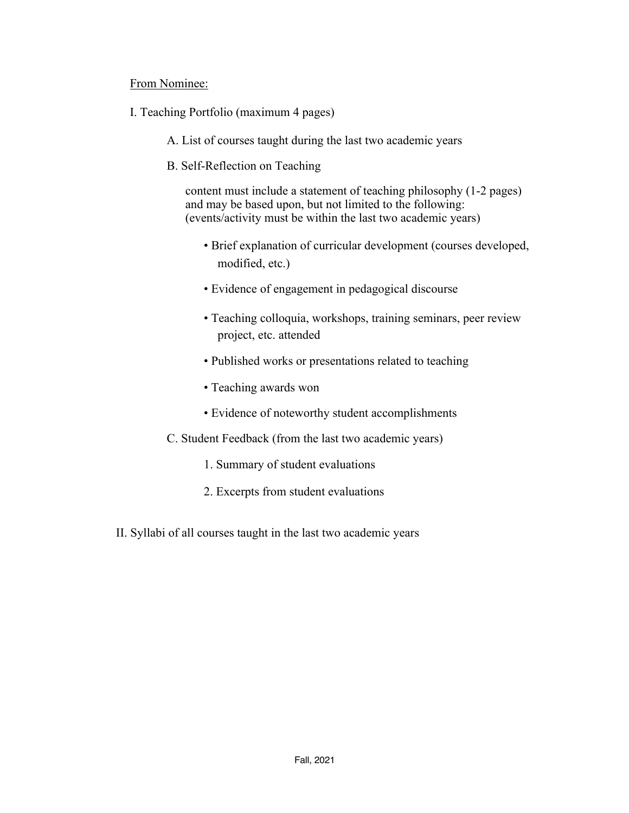#### From Nominee:

- I. Teaching Portfolio (maximum 4 pages)
	- A. List of courses taught during the last two academic years
	- B. Self-Reflection on Teaching

content must include a statement of teaching philosophy (1-2 pages) and may be based upon, but not limited to the following: (events/activity must be within the last two academic years)

- Brief explanation of curricular development (courses developed, modified, etc.)
- Evidence of engagement in pedagogical discourse
- Teaching colloquia, workshops, training seminars, peer review project, etc. attended
- Published works or presentations related to teaching
- Teaching awards won
- Evidence of noteworthy student accomplishments
- C. Student Feedback (from the last two academic years)
	- 1. Summary of student evaluations
	- 2. Excerpts from student evaluations
- II. Syllabi of all courses taught in the last two academic years